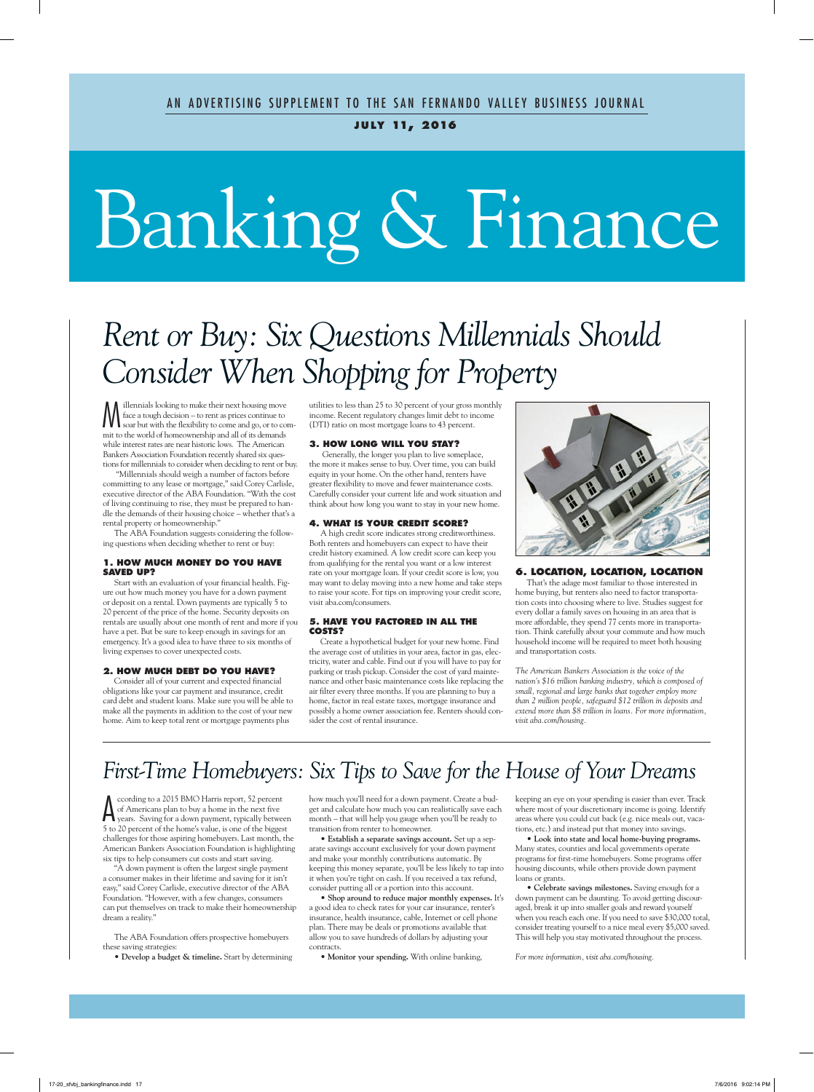#### **j u ly 11, 2016**

# Banking & Finance

### *Rent or Buy: Six Questions Millennials Should Consider When Shopping for Property*

 $\sum_{\text{face a tough decision} - \text{to rent as prices continue to}}$ <br>Soar but with the flexibility to come and go, or to come<br>it to the world of homogeneorhin and all of its damage face a tough decision – to rent as prices continue to soar but with the flexibility to come and go, or to commit to the world of homeownership and all of its demands while interest rates are near historic lows. The American Bankers Association Foundation recently shared six questions for millennials to consider when deciding to rent or buy.

 "Millennials should weigh a number of factors before committing to any lease or mortgage," said Corey Carlisle, executive director of the ABA Foundation. "With the cost of living continuing to rise, they must be prepared to handle the demands of their housing choice – whether that's a rental property or homeownership."

The ABA Foundation suggests considering the following questions when deciding whether to rent or buy:

#### **1. HOW MUCH MONEY DO YOU HAVE SAVED UP?**

Start with an evaluation of your financial health. Figure out how much money you have for a down payment or deposit on a rental. Down payments are typically 5 to 20 percent of the price of the home. Security deposits on rentals are usually about one month of rent and more if you have a pet. But be sure to keep enough in savings for an emergency. It's a good idea to have three to six months of living expenses to cover unexpected costs.

#### **2. HOW MUCH DEBT DO YOU HAVE?**

Consider all of your current and expected financial obligations like your car payment and insurance, credit card debt and student loans. Make sure you will be able to make all the payments in addition to the cost of your new home. Aim to keep total rent or mortgage payments plus

utilities to less than 25 to 30 percent of your gross monthly income. Recent regulatory changes limit debt to income (DTI) ratio on most mortgage loans to 43 percent.

#### **3. HOW LONG WILL YOU STAY?**

 Generally, the longer you plan to live someplace, the more it makes sense to buy. Over time, you can build equity in your home. On the other hand, renters have greater flexibility to move and fewer maintenance costs. Carefully consider your current life and work situation and think about how long you want to stay in your new home.

#### **4. WHAT IS YOUR CREDIT SCORE?**

A high credit score indicates strong creditworthiness. Both renters and homebuyers can expect to have their credit history examined. A low credit score can keep you from qualifying for the rental you want or a low interest rate on your mortgage loan. If your credit score is low, you may want to delay moving into a new home and take steps to raise your score. For tips on improving your credit score, visit aba.com/consumers.

#### **5. HAVE YOU FACTORED IN ALL THE COSTS?**

Create a hypothetical budget for your new home. Find the average cost of utilities in your area, factor in gas, electricity, water and cable. Find out if you will have to pay for parking or trash pickup. Consider the cost of yard maintenance and other basic maintenance costs like replacing the air filter every three months. If you are planning to buy a home, factor in real estate taxes, mortgage insurance and possibly a home owner association fee. Renters should consider the cost of rental insurance.



#### **6. LOCATION, LOCATION, LOCATION**

That's the adage most familiar to those interested in home buying, but renters also need to factor transportation costs into choosing where to live. Studies suggest for every dollar a family saves on housing in an area that is more affordable, they spend 77 cents more in transportation. Think carefully about your commute and how much household income will be required to meet both housing and transportation costs.

*The American Bankers Association is the voice of the nation's \$16 trillion banking industry, which is composed of small, regional and large banks that together employ more than 2 million people, safeguard \$12 trillion in deposits and extend more than \$8 trillion in loans. For more information, visit aba.com/housing.*

### *First-Time Homebuyers: Six Tips to Save for the House of Your Dreams*

Supervisory of Americans plan to buy a home in the next five years. Saving for a down payment, typically between<br>See 20 persont of the home's value is the person for the highest space of the highest ccording to a 2015 BMO Harris report, 52 percent of Americans plan to buy a home in the next five 5 to 20 percent of the home's value, is one of the biggest challenges for those aspiring homebuyers. Last month, the American Bankers Association Foundation is highlighting six tips to help consumers cut costs and start saving.

"A down payment is often the largest single payment a consumer makes in their lifetime and saving for it isn't easy," said Corey Carlisle, executive director of the ABA Foundation. "However, with a few changes, consumers can put themselves on track to make their homeownership dream a reality."

The ABA Foundation offers prospective homebuyers these saving strategies:

**• Develop a budget & timeline.** Start by determining

how much you'll need for a down payment. Create a budget and calculate how much you can realistically save each month – that will help you gauge when you'll be ready to transition from renter to homeowner.

**• Establish a separate savings account.** Set up a separate savings account exclusively for your down payment and make your monthly contributions automatic. By keeping this money separate, you'll be less likely to tap into it when you're tight on cash. If you received a tax refund, consider putting all or a portion into this account.

**• Shop around to reduce major monthly expenses.** It's a good idea to check rates for your car insurance, renter's insurance, health insurance, cable, Internet or cell phone plan. There may be deals or promotions available that allow you to save hundreds of dollars by adjusting your contracts.

**• Monitor your spending.** With online banking,

keeping an eye on your spending is easier than ever. Track where most of your discretionary income is going. Identify areas where you could cut back (e.g. nice meals out, vacations, etc.) and instead put that money into savings.

**• Look into state and local home-buying programs.** Many states, counties and local governments operate programs for first-time homebuyers. Some programs offer housing discounts, while others provide down payment loans or grants.

**• Celebrate savings milestones.** Saving enough for a down payment can be daunting. To avoid getting discouraged, break it up into smaller goals and reward yourself when you reach each one. If you need to save \$30,000 total, consider treating yourself to a nice meal every \$5,000 saved. This will help you stay motivated throughout the process.

*For more information, visit aba.com/housing.*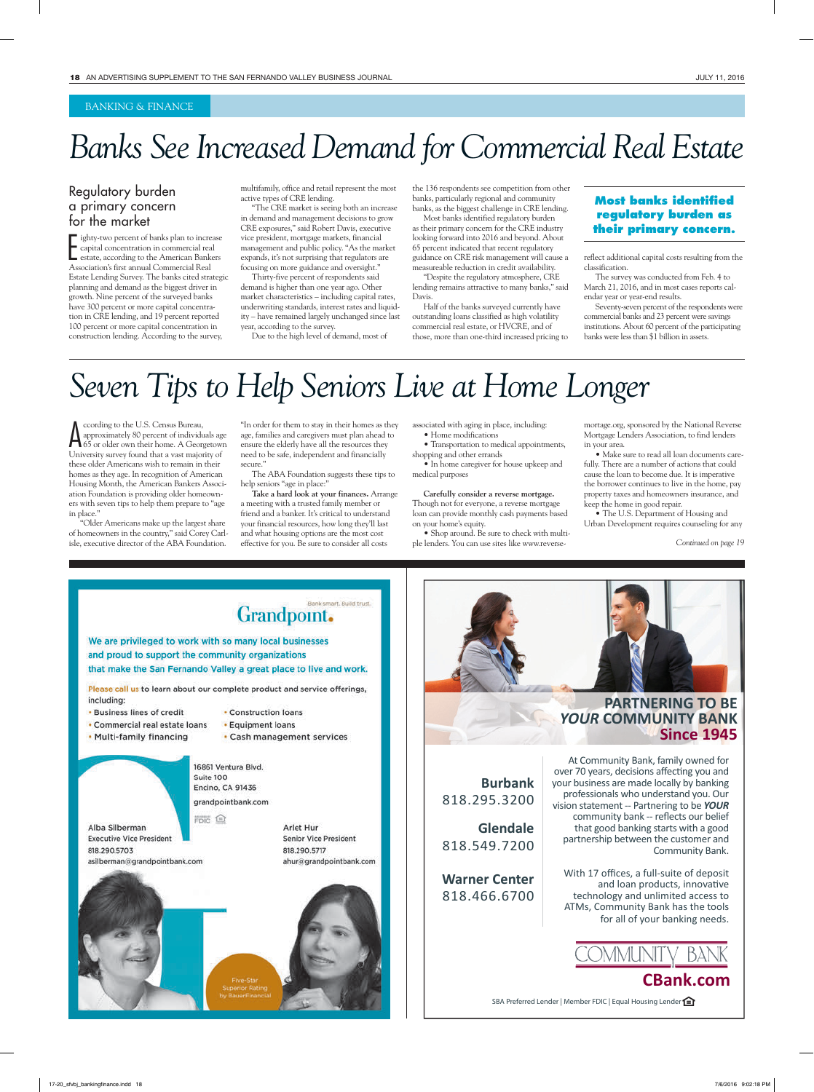#### BANKING & FINANCE

### *Banks See Increased Demand for Commercial Real Estate*

#### Regulatory burden a primary concern for the market

I ighty-two percent of banks plan to increase capital concentration in commercial real estate, according to the American Banke Association's first annual Commercial Real ighty-two percent of banks plan to increase capital concentration in commercial real estate, according to the American Bankers Estate Lending Survey. The banks cited strategic planning and demand as the biggest driver in growth. Nine percent of the surveyed banks have 300 percent or more capital concentration in CRE lending, and 19 percent reported 100 percent or more capital concentration in construction lending. According to the survey,

multifamily, office and retail represent the most active types of CRE lending.

"The CRE market is seeing both an increase in demand and management decisions to grow CRE exposures," said Robert Davis, executive vice president, mortgage markets, financial management and public policy. "As the market expands, it's not surprising that regulators are focusing on more guidance and oversight."

Thirty-five percent of respondents said demand is higher than one year ago. Other market characteristics – including capital rates, underwriting standards, interest rates and liquidity – have remained largely unchanged since last year, according to the survey.

Due to the high level of demand, most of

the 136 respondents see competition from other banks, particularly regional and community banks, as the biggest challenge in CRE lending.

Most banks identified regulatory burden as their primary concern for the CRE industry looking forward into 2016 and beyond. About 65 percent indicated that recent regulatory guidance on CRE risk management will cause a measureable reduction in credit availability.

"Despite the regulatory atmosphere, CRE lending remains attractive to many banks," said Davis.

Half of the banks surveyed currently have outstanding loans classified as high volatility commercial real estate, or HVCRE, and of those, more than one-third increased pricing to

#### **Most banks identified regulatory burden as their primary concern.**

reflect additional capital costs resulting from the classification.

The survey was conducted from Feb. 4 to March 21, 2016, and in most cases reports calendar year or year-end results.

Seventy-seven percent of the respondents were commercial banks and 23 percent were savings institutions. About 60 percent of the participating banks were less than \$1 billion in assets.

### *Seven Tips to Help Seniors Live at Home Longer*

A ccording to the U.S. Census Bureau, approximately 80 percent of individuals age 65 or older own their home. A Georgetown University survey found that a vast majority of these older Americans wish to remain in their homes as they age. In recognition of American Housing Month, the American Bankers Association Foundation is providing older homeowners with seven tips to help them prepare to "age in place."

"Older Americans make up the largest share of homeowners in the country," said Corey Carlisle, executive director of the ABA Foundation.

"In order for them to stay in their homes as they age, families and caregivers must plan ahead to ensure the elderly have all the resources they need to be safe, independent and financially secure.'

The ABA Foundation suggests these tips to help seniors "age in place:"

**Take a hard look at your finances.** Arrange a meeting with a trusted family member or friend and a banker. It's critical to understand your financial resources, how long they'll last and what housing options are the most cost effective for you. Be sure to consider all costs

associated with aging in place, including: **•** Home modifications

**•** Transportation to medical appointments, shopping and other errands

**•** In home caregiver for house upkeep and medical purposes

**Carefully consider a reverse mortgage.** Though not for everyone, a reverse mortgage loan can provide monthly cash payments based on your home's equity.

**•** Shop around. Be sure to check with multiple lenders. You can use sites like www.reverse-

**Burbank**

mortage.org, sponsored by the National Reverse Mortgage Lenders Association, to find lenders in your area.

**•** Make sure to read all loan documents carefully. There are a number of actions that could cause the loan to become due. It is imperative the borrower continues to live in the home, pay property taxes and homeowners insurance, and keep the home in good repair.

**•** The U.S. Department of Housing and Urban Development requires counseling for any

*Continued on page 19*



#### **PARTNERING TO BE**  *YOUR* **COMMUNITY BANK Since 1945**

At Community Bank, family owned for over 70 years, decisions affecting you and your business are made locally by banking professionals who understand you. Our vision statement -- Partnering to be YOUR community bank -- reflects our belief that good banking starts with a good partnership between the customer and Community Bank.

With 17 offices, a full-suite of deposit and loan products, innovative technology and unlimited access to ATMs, Community Bank has the tools for all of your banking needs.



SBA Preferred Lender | Member FDIC | Equal Housing Lender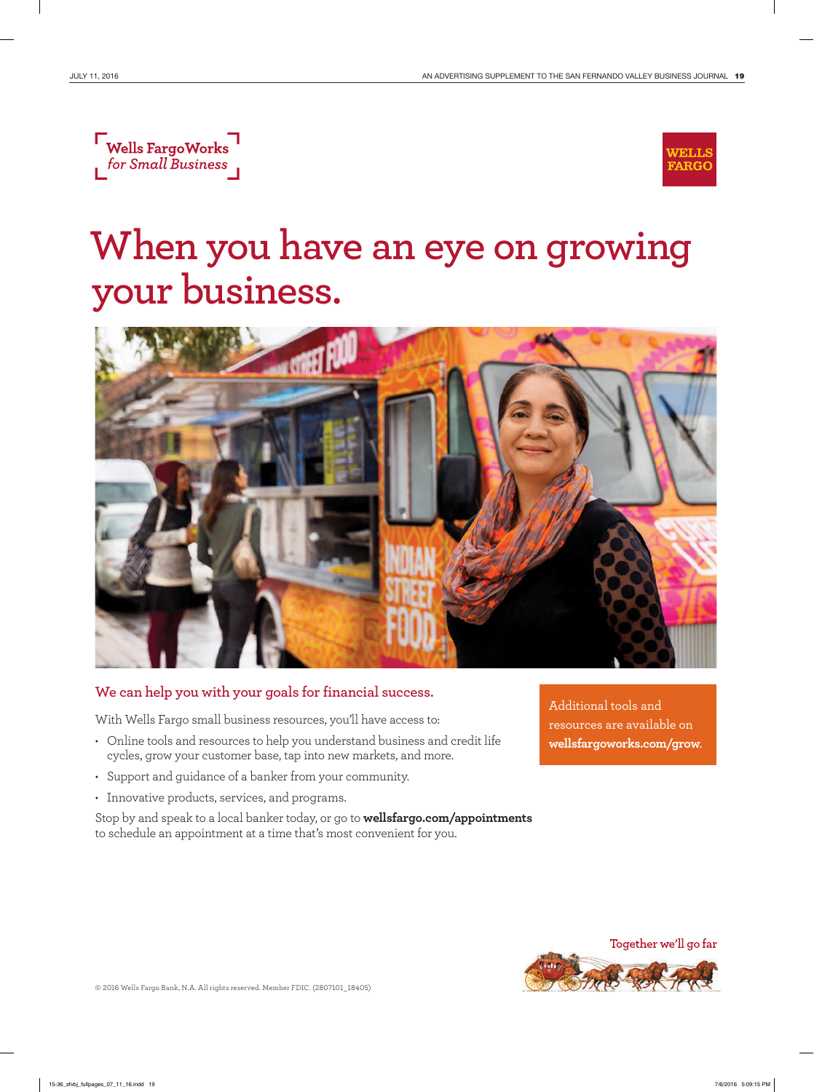



## **When you have an eye on growing your business.**



#### **We can help you with your goals for financial success.**

With Wells Fargo small business resources, you'll have access to:

- Online tools and resources to help you understand business and credit life cycles, grow your customer base, tap into new markets, and more.
- Support and guidance of a banker from your community.
- Innovative products, services, and programs.

Stop by and speak to a local banker today, or go to **wellsfargo. com/appointments** to schedule an appointment at a time that's most convenient for you.

Additional tools and resources are available on **wellsfargoworks.com/grow**.